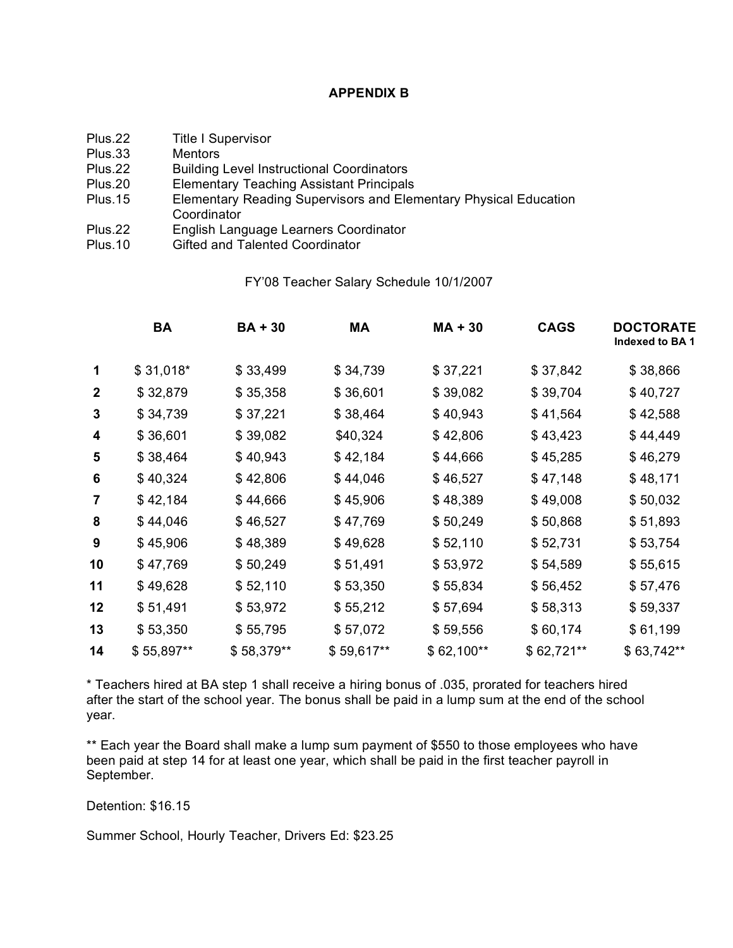# **APPENDIX B**

Plus.22 Title I Supervisor<br>Plus.33 Mentors

Mentors

- Plus.22 Building Level Instructional Coordinators
- Plus.20 Elementary Teaching Assistant Principals
- Plus.15 Elementary Reading Supervisors and Elementary Physical Education **Coordinator**
- Plus.22 English Language Learners Coordinator
- Plus.10 Gifted and Talented Coordinator

#### FY'08 Teacher Salary Schedule 10/1/2007

|                         | <b>BA</b>  | <b>BA+30</b> | МA         | $MA + 30$   | <b>CAGS</b> | <b>DOCTORATE</b><br>Indexed to BA 1 |
|-------------------------|------------|--------------|------------|-------------|-------------|-------------------------------------|
| 1                       | $$31,018*$ | \$33,499     | \$34,739   | \$37,221    | \$37,842    | \$38,866                            |
| $\boldsymbol{2}$        | \$32,879   | \$35,358     | \$36,601   | \$39,082    | \$39,704    | \$40,727                            |
| 3                       | \$34,739   | \$37,221     | \$38,464   | \$40,943    | \$41,564    | \$42,588                            |
| 4                       | \$36,601   | \$39,082     | \$40,324   | \$42,806    | \$43,423    | \$44,449                            |
| 5                       | \$38,464   | \$40,943     | \$42,184   | \$44,666    | \$45,285    | \$46,279                            |
| 6                       | \$40,324   | \$42,806     | \$44,046   | \$46,527    | \$47,148    | \$48,171                            |
| $\overline{\mathbf{7}}$ | \$42,184   | \$44,666     | \$45,906   | \$48,389    | \$49,008    | \$50,032                            |
| 8                       | \$44,046   | \$46,527     | \$47,769   | \$50,249    | \$50,868    | \$51,893                            |
| 9                       | \$45,906   | \$48,389     | \$49,628   | \$52,110    | \$52,731    | \$53,754                            |
| 10                      | \$47,769   | \$50,249     | \$51,491   | \$53,972    | \$54,589    | \$55,615                            |
| 11                      | \$49,628   | \$52,110     | \$53,350   | \$55,834    | \$56,452    | \$57,476                            |
| 12                      | \$51,491   | \$53,972     | \$55,212   | \$57,694    | \$58,313    | \$59,337                            |
| 13                      | \$53,350   | \$55,795     | \$57,072   | \$59,556    | \$60,174    | \$61,199                            |
| 14                      | \$55,897** | \$58,379**   | \$59,617** | $$62,100**$ | \$62,721**  | \$63,742**                          |
|                         |            |              |            |             |             |                                     |

\* Teachers hired at BA step 1 shall receive a hiring bonus of .035, prorated for teachers hired after the start of the school year. The bonus shall be paid in a lump sum at the end of the school year.

\*\* Each year the Board shall make a lump sum payment of \$550 to those employees who have been paid at step 14 for at least one year, which shall be paid in the first teacher payroll in September.

Detention: \$16.15

Summer School, Hourly Teacher, Drivers Ed: \$23.25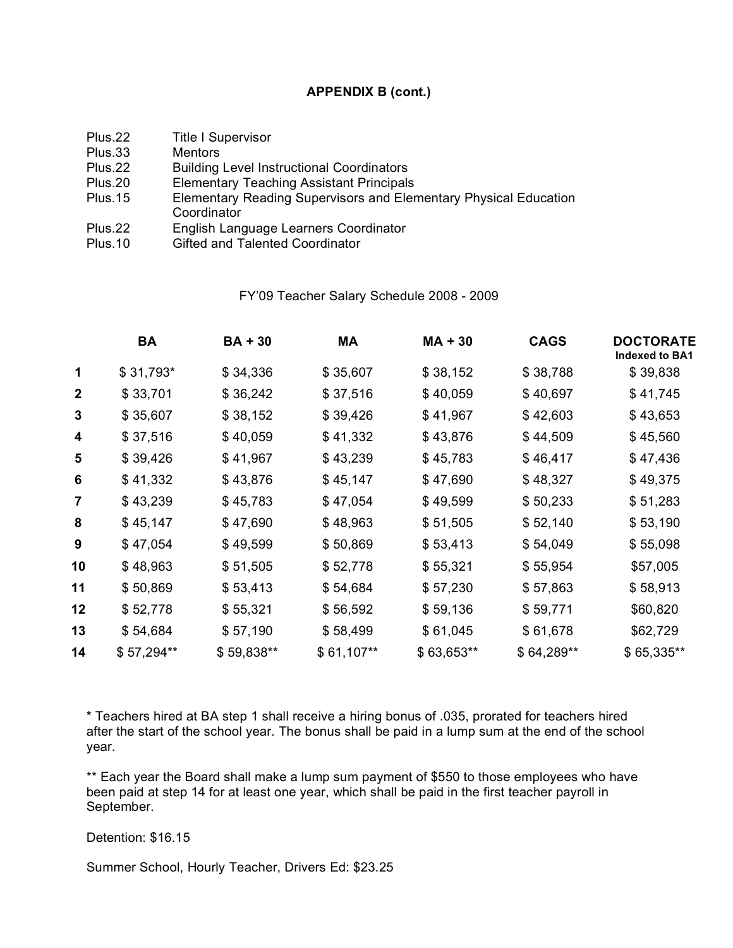## **APPENDIX B (cont.)**

Plus.22 Title I Supervisor

Plus.33 Mentors

- Plus.22 Building Level Instructional Coordinators
- Plus.20 Elementary Teaching Assistant Principals
- Plus.15 Elementary Reading Supervisors and Elementary Physical Education **Coordinator**
- Plus.22 English Language Learners Coordinator
- Plus.10 Gifted and Talented Coordinator

# FY'09 Teacher Salary Schedule 2008 - 2009

|                  | <b>BA</b>  | <b>BA+30</b> | МA          | $MA + 30$  | <b>CAGS</b> | <b>DOCTORATE</b><br>Indexed to BA1 |
|------------------|------------|--------------|-------------|------------|-------------|------------------------------------|
| 1                | \$31,793*  | \$34,336     | \$35,607    | \$38,152   | \$38,788    | \$39,838                           |
| $\boldsymbol{2}$ | \$33,701   | \$36,242     | \$37,516    | \$40,059   | \$40,697    | \$41,745                           |
| 3                | \$35,607   | \$38,152     | \$39,426    | \$41,967   | \$42,603    | \$43,653                           |
| 4                | \$37,516   | \$40,059     | \$41,332    | \$43,876   | \$44,509    | \$45,560                           |
| 5                | \$39,426   | \$41,967     | \$43,239    | \$45,783   | \$46,417    | \$47,436                           |
| 6                | \$41,332   | \$43,876     | \$45,147    | \$47,690   | \$48,327    | \$49,375                           |
| $\overline{7}$   | \$43,239   | \$45,783     | \$47,054    | \$49,599   | \$50,233    | \$51,283                           |
| 8                | \$45,147   | \$47,690     | \$48,963    | \$51,505   | \$52,140    | \$53,190                           |
| 9                | \$47,054   | \$49,599     | \$50,869    | \$53,413   | \$54,049    | \$55,098                           |
| 10               | \$48,963   | \$51,505     | \$52,778    | \$55,321   | \$55,954    | \$57,005                           |
| 11               | \$50,869   | \$53,413     | \$54,684    | \$57,230   | \$57,863    | \$58,913                           |
| 12               | \$52,778   | \$55,321     | \$56,592    | \$59,136   | \$59,771    | \$60,820                           |
| 13               | \$54,684   | \$57,190     | \$58,499    | \$61,045   | \$61,678    | \$62,729                           |
| 14               | \$57,294** | \$59,838**   | $$61,107**$ | \$63,653** | \$64,289**  | \$65,335**                         |
|                  |            |              |             |            |             |                                    |

\* Teachers hired at BA step 1 shall receive a hiring bonus of .035, prorated for teachers hired after the start of the school year. The bonus shall be paid in a lump sum at the end of the school year.

\*\* Each year the Board shall make a lump sum payment of \$550 to those employees who have been paid at step 14 for at least one year, which shall be paid in the first teacher payroll in September.

Detention: \$16.15

Summer School, Hourly Teacher, Drivers Ed: \$23.25